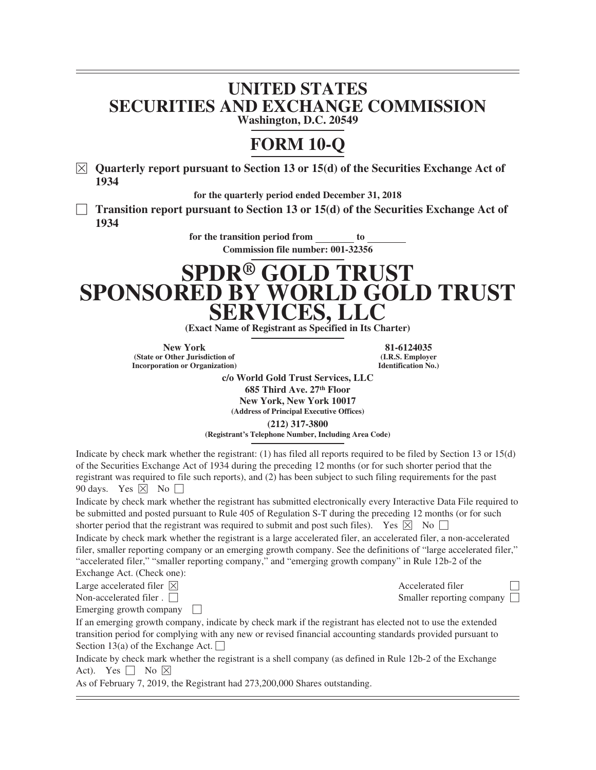## **UNITED STATES SECURITIES AND EXCHANGE COMMISSION Washington, D.C. 20549**

## **FORM 10-Q**

 $\boxtimes$  Quarterly report pursuant to Section 13 or 15(d) of the Securities Exchange Act of **1934**

**for the quarterly period ended December 31, 2018**

' **Transition report pursuant to Section 13 or 15(d) of the Securities Exchange Act of 1934**

> **for the transition period from to Commission file number: 001-32356**

# **SPDR® GOLD TRUST**<br>**SPONSORED BY WORLD GOL RLD GOLD TRUST SERVICES, LLC**

**(Exact Name of Registrant as Specified in Its Charter)**

**New York 81-6124035 (State or Other Jurisdiction of Incorporation or Organization)**

**(I.R.S. Employer Identification No.)**

**c/o World Gold Trust Services, LLC 685 Third Ave. 27th Floor New York, New York 10017 (Address of Principal Executive Offices) (212) 317-3800**

**(Registrant's Telephone Number, Including Area Code)**

Indicate by check mark whether the registrant: (1) has filed all reports required to be filed by Section 13 or 15(d) of the Securities Exchange Act of 1934 during the preceding 12 months (or for such shorter period that the registrant was required to file such reports), and (2) has been subject to such filing requirements for the past 90 days. Yes  $|\times|$  No  $|\cdot|$ 

Indicate by check mark whether the registrant has submitted electronically every Interactive Data File required to be submitted and posted pursuant to Rule 405 of Regulation S-T during the preceding 12 months (or for such shorter period that the registrant was required to submit and post such files). Yes  $\boxed{\times}$  No  $\boxed{\phantom{0}}$ 

Indicate by check mark whether the registrant is a large accelerated filer, an accelerated filer, a non-accelerated filer, smaller reporting company or an emerging growth company. See the definitions of "large accelerated filer," "accelerated filer," "smaller reporting company," and "emerging growth company" in Rule 12b-2 of the Exchange Act. (Check one):

Large accelerated filer  $|\overline{\times}|$  Accelerated filer

Non-accelerated filer .  $\Box$ 

Emerging growth company  $\Box$ 

If an emerging growth company, indicate by check mark if the registrant has elected not to use the extended transition period for complying with any new or revised financial accounting standards provided pursuant to Section 13(a) of the Exchange Act.  $\Box$ 

Indicate by check mark whether the registrant is a shell company (as defined in Rule 12b-2 of the Exchange Act). Yes  $\Box$  No  $\boxtimes$ 

As of February 7, 2019, the Registrant had 273,200,000 Shares outstanding.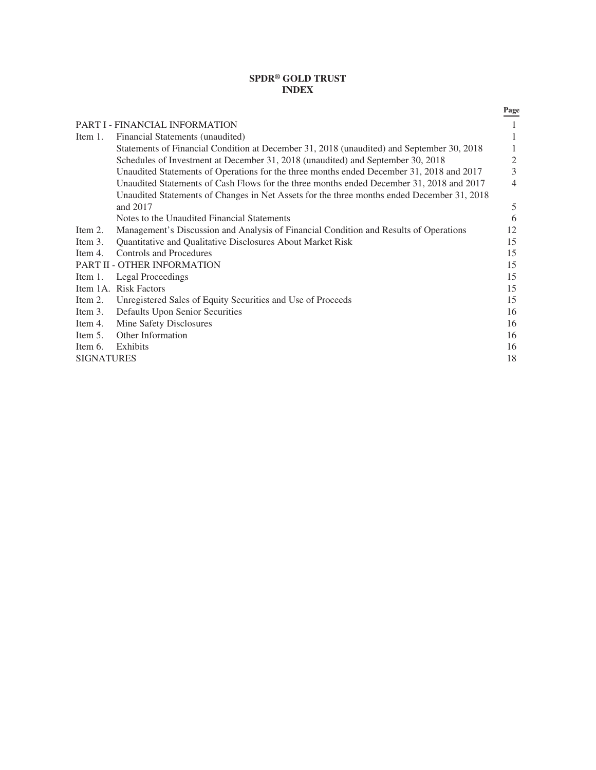## **SPDR® GOLD TRUST INDEX**

| <b>PART I - FINANCIAL INFORMATION</b><br>Financial Statements (unaudited)<br>Item 1.<br>Statements of Financial Condition at December 31, 2018 (unaudited) and September 30, 2018<br>Schedules of Investment at December 31, 2018 (unaudited) and September 30, 2018<br>2<br>3<br>Unaudited Statements of Operations for the three months ended December 31, 2018 and 2017<br>Unaudited Statements of Cash Flows for the three months ended December 31, 2018 and 2017<br>4<br>Unaudited Statements of Changes in Net Assets for the three months ended December 31, 2018<br>and 2017<br>5<br>Notes to the Unaudited Financial Statements<br>6<br>Item 2.<br>Management's Discussion and Analysis of Financial Condition and Results of Operations<br>12<br>Quantitative and Qualitative Disclosures About Market Risk<br>Item 3.<br>15<br>Controls and Procedures<br>Item 4.<br>15<br><b>PART II - OTHER INFORMATION</b><br>15<br>Legal Proceedings<br>15<br>Item 1.<br>Item 1A. Risk Factors<br>15<br>Unregistered Sales of Equity Securities and Use of Proceeds<br>15<br>Item 2.<br>Defaults Upon Senior Securities<br>16<br>Item 3.<br>Mine Safety Disclosures<br>Item 4.<br>16<br>Other Information<br>Item 5.<br>16<br>Exhibits<br>Item 6.<br>16<br><b>SIGNATURES</b><br>18 |  | Page |
|------------------------------------------------------------------------------------------------------------------------------------------------------------------------------------------------------------------------------------------------------------------------------------------------------------------------------------------------------------------------------------------------------------------------------------------------------------------------------------------------------------------------------------------------------------------------------------------------------------------------------------------------------------------------------------------------------------------------------------------------------------------------------------------------------------------------------------------------------------------------------------------------------------------------------------------------------------------------------------------------------------------------------------------------------------------------------------------------------------------------------------------------------------------------------------------------------------------------------------------------------------------------------------|--|------|
|                                                                                                                                                                                                                                                                                                                                                                                                                                                                                                                                                                                                                                                                                                                                                                                                                                                                                                                                                                                                                                                                                                                                                                                                                                                                                    |  |      |
|                                                                                                                                                                                                                                                                                                                                                                                                                                                                                                                                                                                                                                                                                                                                                                                                                                                                                                                                                                                                                                                                                                                                                                                                                                                                                    |  |      |
|                                                                                                                                                                                                                                                                                                                                                                                                                                                                                                                                                                                                                                                                                                                                                                                                                                                                                                                                                                                                                                                                                                                                                                                                                                                                                    |  |      |
|                                                                                                                                                                                                                                                                                                                                                                                                                                                                                                                                                                                                                                                                                                                                                                                                                                                                                                                                                                                                                                                                                                                                                                                                                                                                                    |  |      |
|                                                                                                                                                                                                                                                                                                                                                                                                                                                                                                                                                                                                                                                                                                                                                                                                                                                                                                                                                                                                                                                                                                                                                                                                                                                                                    |  |      |
|                                                                                                                                                                                                                                                                                                                                                                                                                                                                                                                                                                                                                                                                                                                                                                                                                                                                                                                                                                                                                                                                                                                                                                                                                                                                                    |  |      |
|                                                                                                                                                                                                                                                                                                                                                                                                                                                                                                                                                                                                                                                                                                                                                                                                                                                                                                                                                                                                                                                                                                                                                                                                                                                                                    |  |      |
|                                                                                                                                                                                                                                                                                                                                                                                                                                                                                                                                                                                                                                                                                                                                                                                                                                                                                                                                                                                                                                                                                                                                                                                                                                                                                    |  |      |
|                                                                                                                                                                                                                                                                                                                                                                                                                                                                                                                                                                                                                                                                                                                                                                                                                                                                                                                                                                                                                                                                                                                                                                                                                                                                                    |  |      |
|                                                                                                                                                                                                                                                                                                                                                                                                                                                                                                                                                                                                                                                                                                                                                                                                                                                                                                                                                                                                                                                                                                                                                                                                                                                                                    |  |      |
|                                                                                                                                                                                                                                                                                                                                                                                                                                                                                                                                                                                                                                                                                                                                                                                                                                                                                                                                                                                                                                                                                                                                                                                                                                                                                    |  |      |
|                                                                                                                                                                                                                                                                                                                                                                                                                                                                                                                                                                                                                                                                                                                                                                                                                                                                                                                                                                                                                                                                                                                                                                                                                                                                                    |  |      |
|                                                                                                                                                                                                                                                                                                                                                                                                                                                                                                                                                                                                                                                                                                                                                                                                                                                                                                                                                                                                                                                                                                                                                                                                                                                                                    |  |      |
|                                                                                                                                                                                                                                                                                                                                                                                                                                                                                                                                                                                                                                                                                                                                                                                                                                                                                                                                                                                                                                                                                                                                                                                                                                                                                    |  |      |
|                                                                                                                                                                                                                                                                                                                                                                                                                                                                                                                                                                                                                                                                                                                                                                                                                                                                                                                                                                                                                                                                                                                                                                                                                                                                                    |  |      |
|                                                                                                                                                                                                                                                                                                                                                                                                                                                                                                                                                                                                                                                                                                                                                                                                                                                                                                                                                                                                                                                                                                                                                                                                                                                                                    |  |      |
|                                                                                                                                                                                                                                                                                                                                                                                                                                                                                                                                                                                                                                                                                                                                                                                                                                                                                                                                                                                                                                                                                                                                                                                                                                                                                    |  |      |
|                                                                                                                                                                                                                                                                                                                                                                                                                                                                                                                                                                                                                                                                                                                                                                                                                                                                                                                                                                                                                                                                                                                                                                                                                                                                                    |  |      |
|                                                                                                                                                                                                                                                                                                                                                                                                                                                                                                                                                                                                                                                                                                                                                                                                                                                                                                                                                                                                                                                                                                                                                                                                                                                                                    |  |      |
|                                                                                                                                                                                                                                                                                                                                                                                                                                                                                                                                                                                                                                                                                                                                                                                                                                                                                                                                                                                                                                                                                                                                                                                                                                                                                    |  |      |
|                                                                                                                                                                                                                                                                                                                                                                                                                                                                                                                                                                                                                                                                                                                                                                                                                                                                                                                                                                                                                                                                                                                                                                                                                                                                                    |  |      |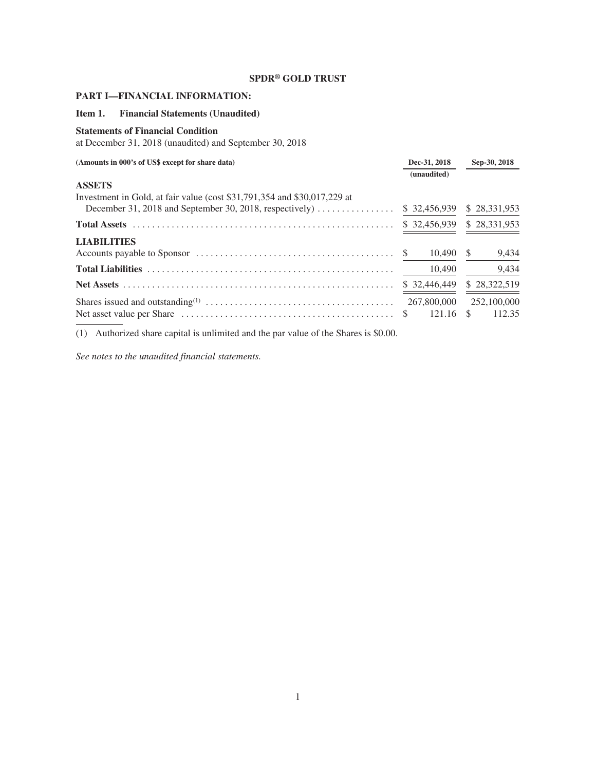## **PART I—FINANCIAL INFORMATION:**

## **Item 1. Financial Statements (Unaudited)**

## **Statements of Financial Condition**

at December 31, 2018 (unaudited) and September 30, 2018

| (Amounts in 000's of US\$ except for share data)                                    | Dec-31, 2018 | Sep-30, 2018 |
|-------------------------------------------------------------------------------------|--------------|--------------|
|                                                                                     | (unaudited)  |              |
| <b>ASSETS</b>                                                                       |              |              |
| Investment in Gold, at fair value (cost \$31,791,354 and \$30,017,229 at            |              |              |
| December 31, 2018 and September 30, 2018, respectively) $\dots\dots\dots\dots\dots$ | \$32,456,939 | \$28,331,953 |
|                                                                                     | \$32,456,939 | \$28,331,953 |
| <b>LIABILITIES</b>                                                                  |              |              |
|                                                                                     | $10,490$ \$  | 9,434        |
|                                                                                     | 10,490       | 9,434        |
|                                                                                     | \$32,446,449 | \$28,322,519 |
|                                                                                     | 267,800,000  | 252,100,000  |
|                                                                                     | $121.16$ \$  | 112.35       |
|                                                                                     |              |              |

(1) Authorized share capital is unlimited and the par value of the Shares is \$0.00.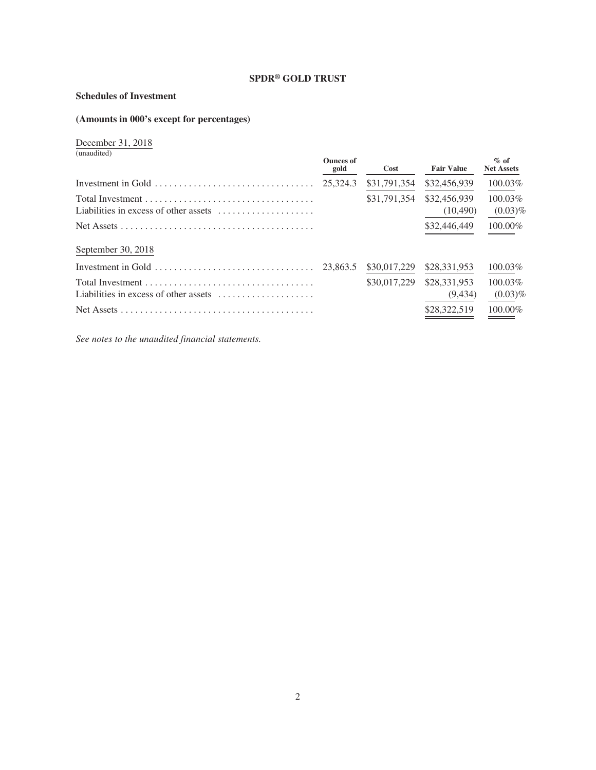## **Schedules of Investment**

## **(Amounts in 000's except for percentages)**

December 31, 2018 (unaudited)

| (unaudited)                                                           | <b>Ounces of</b><br>gold | Cost         | <b>Fair Value</b>         | $\%$ of<br><b>Net Assets</b> |
|-----------------------------------------------------------------------|--------------------------|--------------|---------------------------|------------------------------|
|                                                                       | 25,324.3                 | \$31,791,354 | \$32,456,939              | 100.03%                      |
| Liabilities in excess of other assets $\ldots$ , $\ldots$             |                          | \$31,791,354 | \$32,456,939<br>(10, 490) | 100.03%<br>$(0.03)\%$        |
|                                                                       |                          |              | \$32,446,449              | 100.00%                      |
| September 30, 2018                                                    |                          |              |                           |                              |
|                                                                       |                          | \$30,017,229 | \$28,331,953              | 100.03%                      |
| Liabilities in excess of other assets $\dots \dots \dots \dots \dots$ |                          | \$30,017,229 | \$28,331,953<br>(9,434)   | $100.03\%$<br>$(0.03)\%$     |
|                                                                       |                          |              | \$28,322,519              | 100.00%                      |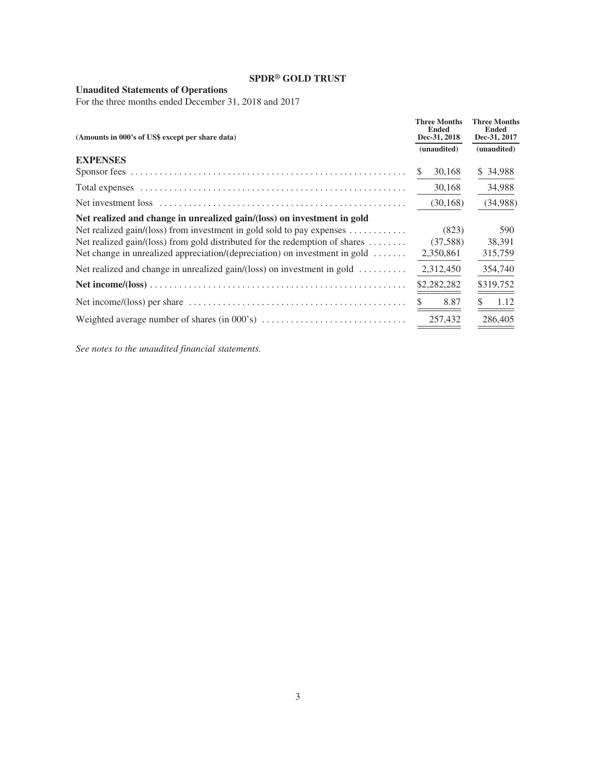## **Unaudited Statements of Operations**

For the three months ended December 31, 2018 and 2017

| (Amounts in 000's of US\$ except per share data)                                             | <b>Three Months</b><br><b>Ended</b><br>Dec-31, 2018 | <b>Three Months</b><br><b>Ended</b><br>Dec-31, 2017 |
|----------------------------------------------------------------------------------------------|-----------------------------------------------------|-----------------------------------------------------|
|                                                                                              | (unaudited)                                         | (unaudited)                                         |
| <b>EXPENSES</b>                                                                              |                                                     |                                                     |
|                                                                                              | 30,168<br>S                                         | \$ 34,988                                           |
|                                                                                              | 30,168                                              | 34,988                                              |
|                                                                                              | (30, 168)                                           | (34,988)                                            |
| Net realized and change in unrealized gain/(loss) on investment in gold                      |                                                     |                                                     |
| Net realized gain/(loss) from investment in gold sold to pay expenses $\dots\dots\dots\dots$ | (823)                                               | 590                                                 |
| Net realized gain/(loss) from gold distributed for the redemption of shares $\dots\dots$     | (37,588)                                            | 38,391                                              |
| Net change in unrealized appreciation/(depreciation) on investment in gold $\dots \dots$     | 2,350,861                                           | 315,759                                             |
| Net realized and change in unrealized gain/(loss) on investment in gold $\dots\dots\dots$    | 2,312,450                                           | 354,740                                             |
|                                                                                              | \$2,282,282                                         | \$319,752                                           |
|                                                                                              | 8.87                                                | 1.12                                                |
|                                                                                              | 257,432                                             | 286,405                                             |
|                                                                                              |                                                     |                                                     |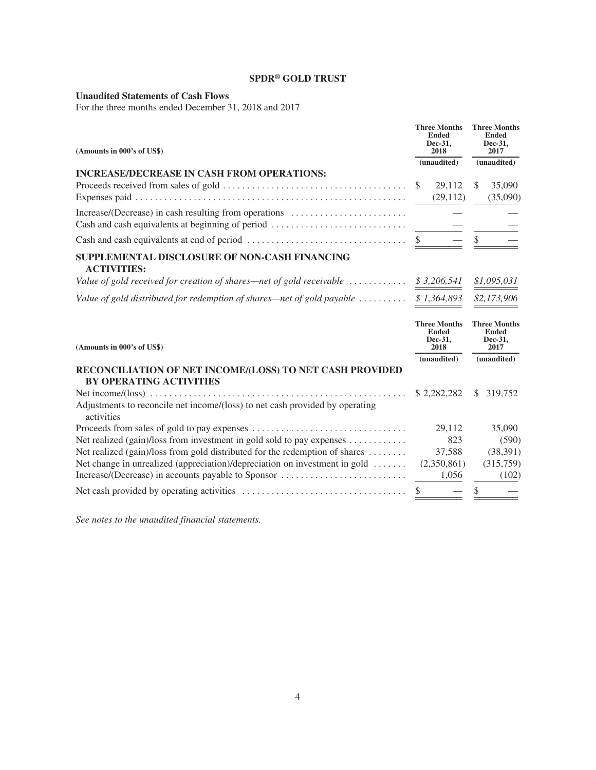## **Unaudited Statements of Cash Flows**

For the three months ended December 31, 2018 and 2017

| (Amounts in 000's of US\$)                                                                                                | <b>Three Months</b><br><b>Ended</b><br>Dec-31,<br>2018                | <b>Three Months</b><br><b>Ended</b><br>Dec-31,<br>2017                |
|---------------------------------------------------------------------------------------------------------------------------|-----------------------------------------------------------------------|-----------------------------------------------------------------------|
|                                                                                                                           | (unaudited)                                                           | (unaudited)                                                           |
| <b>INCREASE/DECREASE IN CASH FROM OPERATIONS:</b>                                                                         |                                                                       |                                                                       |
|                                                                                                                           | <sup>\$</sup><br>29,112                                               | 35,090<br><sup>\$</sup>                                               |
|                                                                                                                           | (29, 112)                                                             | (35,090)                                                              |
| Increase/(Decrease) in cash resulting from operations<br>Cash and cash equivalents at beginning of period                 |                                                                       |                                                                       |
|                                                                                                                           | $\mathbb{S}$                                                          | $\frac{1}{2}$                                                         |
| SUPPLEMENTAL DISCLOSURE OF NON-CASH FINANCING<br><b>ACTIVITIES:</b>                                                       |                                                                       |                                                                       |
| Value of gold received for creation of shares—net of gold receivable  \$ 3,206,541                                        |                                                                       | \$1,095,031                                                           |
| Value of gold distributed for redemption of shares—net of gold payable  \$ 1,364,893 \$2,173,906                          |                                                                       |                                                                       |
| (Amounts in 000's of US\$)                                                                                                | <b>Three Months</b><br><b>Ended</b><br>Dec-31,<br>2018<br>(unaudited) | <b>Three Months</b><br><b>Ended</b><br>Dec-31,<br>2017<br>(unaudited) |
| RECONCILIATION OF NET INCOME/(LOSS) TO NET CASH PROVIDED<br><b>BY OPERATING ACTIVITIES</b>                                |                                                                       |                                                                       |
| Net income/(loss) $\dots \dots \dots \dots \dots \dots \dots \dots \dots \dots \dots \dots \dots \dots \dots \dots \dots$ | \$2,282,282                                                           | \$ 319,752                                                            |
| Adjustments to reconcile net income/(loss) to net cash provided by operating<br>activities                                |                                                                       |                                                                       |
|                                                                                                                           | 29,112                                                                | 35,090                                                                |
| Net realized (gain)/loss from investment in gold sold to pay expenses                                                     | 823                                                                   | (590)                                                                 |
| Net realized (gain)/loss from gold distributed for the redemption of shares                                               | 37,588                                                                | (38, 391)                                                             |
| Net change in unrealized (appreciation)/depreciation on investment in gold                                                | (2,350,861)                                                           | (315,759)                                                             |
| Increase/(Decrease) in accounts payable to Sponsor                                                                        | 1,056                                                                 | (102)                                                                 |
|                                                                                                                           | \$                                                                    | \$                                                                    |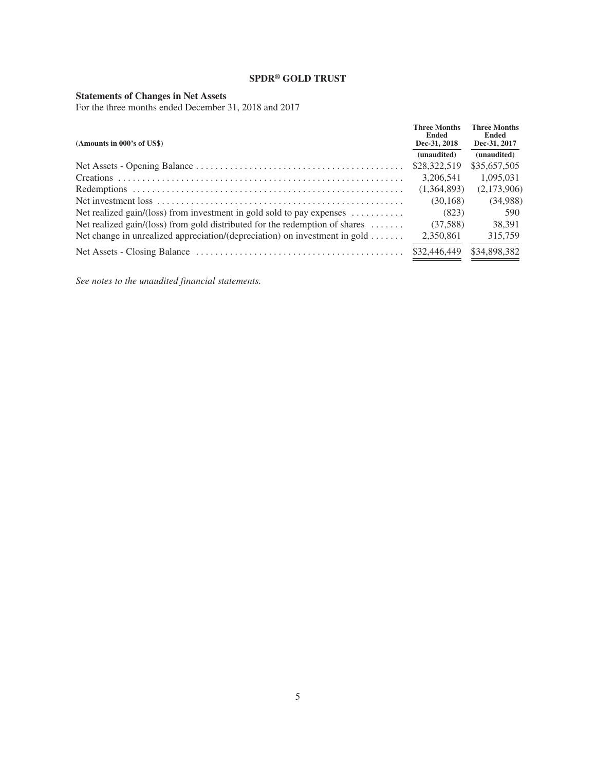## **Statements of Changes in Net Assets**

For the three months ended December 31, 2018 and 2017

| (Amounts in 000's of US\$)                                                                   | <b>Three Months</b><br><b>Ended</b><br>Dec-31, 2018 | <b>Three Months</b><br><b>Ended</b><br>Dec-31, 2017 |
|----------------------------------------------------------------------------------------------|-----------------------------------------------------|-----------------------------------------------------|
|                                                                                              | (unaudited)                                         | (unaudited)                                         |
|                                                                                              | \$28,322,519                                        | \$35,657,505                                        |
|                                                                                              | 3.206.541                                           | 1,095,031                                           |
|                                                                                              | (1,364,893)                                         | (2,173,906)                                         |
|                                                                                              | (30, 168)                                           | (34,988)                                            |
| Net realized gain/(loss) from investment in gold sold to pay expenses $\dots\dots\dots\dots$ | (823)                                               | 590                                                 |
| Net realized gain/(loss) from gold distributed for the redemption of shares $\dots\dots$     | (37,588)                                            | 38,391                                              |
| Net change in unrealized appreciation/(depreciation) on investment in gold                   | 2,350,861                                           | 315,759                                             |
|                                                                                              | \$32,446,449                                        | \$34,898,382                                        |
|                                                                                              |                                                     |                                                     |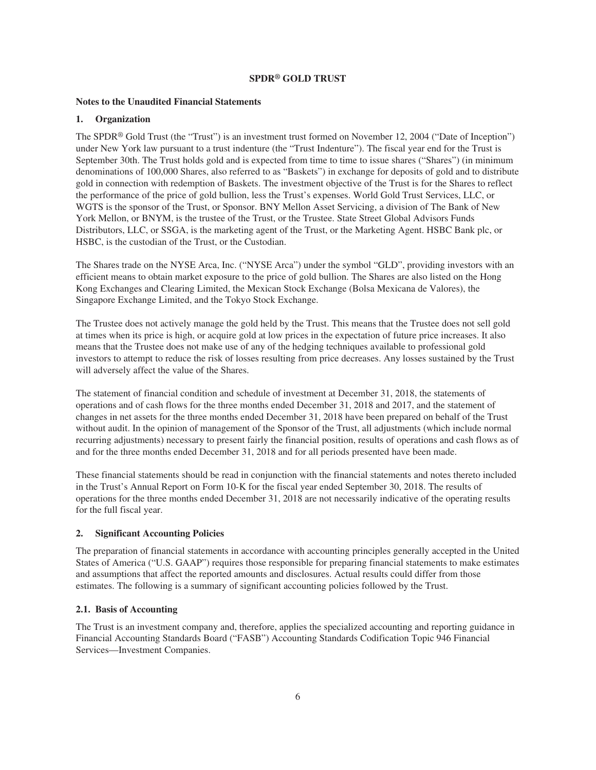#### **Notes to the Unaudited Financial Statements**

## **1. Organization**

The SPDR® Gold Trust (the "Trust") is an investment trust formed on November 12, 2004 ("Date of Inception") under New York law pursuant to a trust indenture (the "Trust Indenture"). The fiscal year end for the Trust is September 30th. The Trust holds gold and is expected from time to time to issue shares ("Shares") (in minimum denominations of 100,000 Shares, also referred to as "Baskets") in exchange for deposits of gold and to distribute gold in connection with redemption of Baskets. The investment objective of the Trust is for the Shares to reflect the performance of the price of gold bullion, less the Trust's expenses. World Gold Trust Services, LLC, or WGTS is the sponsor of the Trust, or Sponsor. BNY Mellon Asset Servicing, a division of The Bank of New York Mellon, or BNYM, is the trustee of the Trust, or the Trustee. State Street Global Advisors Funds Distributors, LLC, or SSGA, is the marketing agent of the Trust, or the Marketing Agent. HSBC Bank plc, or HSBC, is the custodian of the Trust, or the Custodian.

The Shares trade on the NYSE Arca, Inc. ("NYSE Arca") under the symbol "GLD", providing investors with an efficient means to obtain market exposure to the price of gold bullion. The Shares are also listed on the Hong Kong Exchanges and Clearing Limited, the Mexican Stock Exchange (Bolsa Mexicana de Valores), the Singapore Exchange Limited, and the Tokyo Stock Exchange.

The Trustee does not actively manage the gold held by the Trust. This means that the Trustee does not sell gold at times when its price is high, or acquire gold at low prices in the expectation of future price increases. It also means that the Trustee does not make use of any of the hedging techniques available to professional gold investors to attempt to reduce the risk of losses resulting from price decreases. Any losses sustained by the Trust will adversely affect the value of the Shares.

The statement of financial condition and schedule of investment at December 31, 2018, the statements of operations and of cash flows for the three months ended December 31, 2018 and 2017, and the statement of changes in net assets for the three months ended December 31, 2018 have been prepared on behalf of the Trust without audit. In the opinion of management of the Sponsor of the Trust, all adjustments (which include normal recurring adjustments) necessary to present fairly the financial position, results of operations and cash flows as of and for the three months ended December 31, 2018 and for all periods presented have been made.

These financial statements should be read in conjunction with the financial statements and notes thereto included in the Trust's Annual Report on Form 10-K for the fiscal year ended September 30, 2018. The results of operations for the three months ended December 31, 2018 are not necessarily indicative of the operating results for the full fiscal year.

## **2. Significant Accounting Policies**

The preparation of financial statements in accordance with accounting principles generally accepted in the United States of America ("U.S. GAAP") requires those responsible for preparing financial statements to make estimates and assumptions that affect the reported amounts and disclosures. Actual results could differ from those estimates. The following is a summary of significant accounting policies followed by the Trust.

## **2.1. Basis of Accounting**

The Trust is an investment company and, therefore, applies the specialized accounting and reporting guidance in Financial Accounting Standards Board ("FASB") Accounting Standards Codification Topic 946 Financial Services—Investment Companies.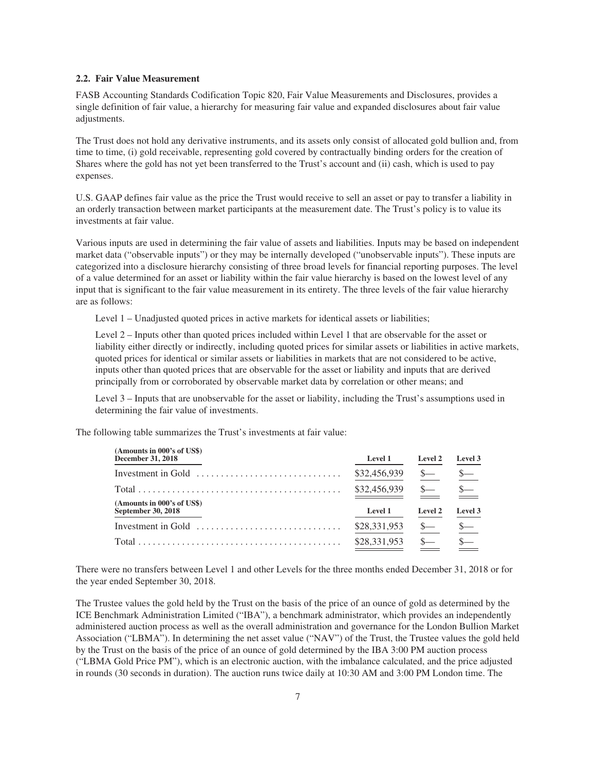#### **2.2. Fair Value Measurement**

FASB Accounting Standards Codification Topic 820, Fair Value Measurements and Disclosures, provides a single definition of fair value, a hierarchy for measuring fair value and expanded disclosures about fair value adjustments.

The Trust does not hold any derivative instruments, and its assets only consist of allocated gold bullion and, from time to time, (i) gold receivable, representing gold covered by contractually binding orders for the creation of Shares where the gold has not yet been transferred to the Trust's account and (ii) cash, which is used to pay expenses.

U.S. GAAP defines fair value as the price the Trust would receive to sell an asset or pay to transfer a liability in an orderly transaction between market participants at the measurement date. The Trust's policy is to value its investments at fair value.

Various inputs are used in determining the fair value of assets and liabilities. Inputs may be based on independent market data ("observable inputs") or they may be internally developed ("unobservable inputs"). These inputs are categorized into a disclosure hierarchy consisting of three broad levels for financial reporting purposes. The level of a value determined for an asset or liability within the fair value hierarchy is based on the lowest level of any input that is significant to the fair value measurement in its entirety. The three levels of the fair value hierarchy are as follows:

Level 1 – Unadjusted quoted prices in active markets for identical assets or liabilities;

Level 2 – Inputs other than quoted prices included within Level 1 that are observable for the asset or liability either directly or indirectly, including quoted prices for similar assets or liabilities in active markets, quoted prices for identical or similar assets or liabilities in markets that are not considered to be active, inputs other than quoted prices that are observable for the asset or liability and inputs that are derived principally from or corroborated by observable market data by correlation or other means; and

Level 3 – Inputs that are unobservable for the asset or liability, including the Trust's assumptions used in determining the fair value of investments.

The following table summarizes the Trust's investments at fair value:

| (Amounts in 000's of US\$)<br>December 31, 2018                                  | <b>Level 1</b> | Level 2        | Level 3          |
|----------------------------------------------------------------------------------|----------------|----------------|------------------|
| Investment in Gold $\dots \dots \dots \dots \dots \dots \dots \dots \dots \dots$ | \$32,456,939   | $s-$           | $\frac{\$ - }{}$ |
|                                                                                  | \$32,456,939   | $S-$           |                  |
| (Amounts in 000's of US\$)<br>September 30, 2018                                 | <b>Level 1</b> | <b>Level 2</b> | Level 3          |
| Investment in Gold $\dots \dots \dots \dots \dots \dots \dots \dots \dots$       | \$28,331,953   | $s-$           | $s-$             |
|                                                                                  | \$28,331,953   |                |                  |

There were no transfers between Level 1 and other Levels for the three months ended December 31, 2018 or for the year ended September 30, 2018.

The Trustee values the gold held by the Trust on the basis of the price of an ounce of gold as determined by the ICE Benchmark Administration Limited ("IBA"), a benchmark administrator, which provides an independently administered auction process as well as the overall administration and governance for the London Bullion Market Association ("LBMA"). In determining the net asset value ("NAV") of the Trust, the Trustee values the gold held by the Trust on the basis of the price of an ounce of gold determined by the IBA 3:00 PM auction process ("LBMA Gold Price PM"), which is an electronic auction, with the imbalance calculated, and the price adjusted in rounds (30 seconds in duration). The auction runs twice daily at 10:30 AM and 3:00 PM London time. The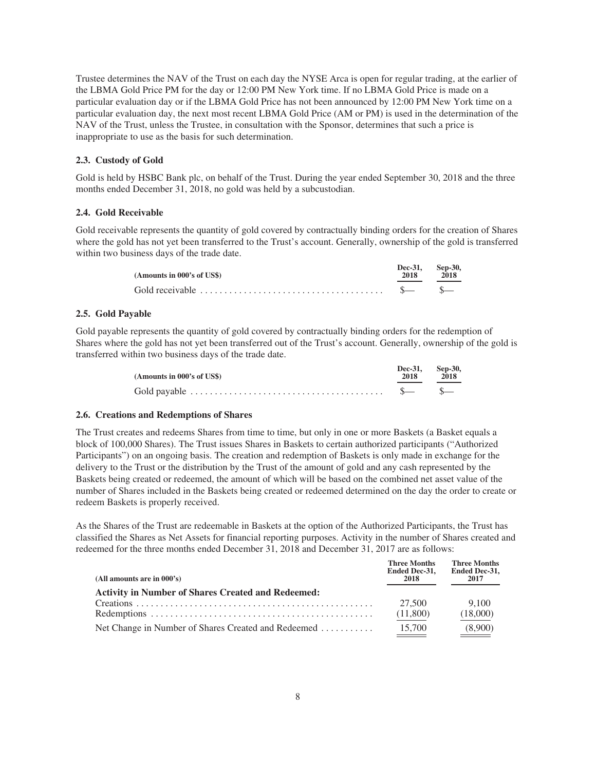Trustee determines the NAV of the Trust on each day the NYSE Arca is open for regular trading, at the earlier of the LBMA Gold Price PM for the day or 12:00 PM New York time. If no LBMA Gold Price is made on a particular evaluation day or if the LBMA Gold Price has not been announced by 12:00 PM New York time on a particular evaluation day, the next most recent LBMA Gold Price (AM or PM) is used in the determination of the NAV of the Trust, unless the Trustee, in consultation with the Sponsor, determines that such a price is inappropriate to use as the basis for such determination.

#### **2.3. Custody of Gold**

Gold is held by HSBC Bank plc, on behalf of the Trust. During the year ended September 30, 2018 and the three months ended December 31, 2018, no gold was held by a subcustodian.

#### **2.4. Gold Receivable**

Gold receivable represents the quantity of gold covered by contractually binding orders for the creation of Shares where the gold has not yet been transferred to the Trust's account. Generally, ownership of the gold is transferred within two business days of the trade date.

| $(A$ mounts in 000's of US\$ $)$ | Dec-31. Sep-30.<br>2018 | 2018 |
|----------------------------------|-------------------------|------|
|                                  |                         |      |

#### **2.5. Gold Payable**

Gold payable represents the quantity of gold covered by contractually binding orders for the redemption of Shares where the gold has not yet been transferred out of the Trust's account. Generally, ownership of the gold is transferred within two business days of the trade date.

| (Amounts in 000's of US\$) | Dec-31.<br>2018 | Sep-30.<br>2018 |
|----------------------------|-----------------|-----------------|
|                            |                 |                 |

#### **2.6. Creations and Redemptions of Shares**

The Trust creates and redeems Shares from time to time, but only in one or more Baskets (a Basket equals a block of 100,000 Shares). The Trust issues Shares in Baskets to certain authorized participants ("Authorized Participants") on an ongoing basis. The creation and redemption of Baskets is only made in exchange for the delivery to the Trust or the distribution by the Trust of the amount of gold and any cash represented by the Baskets being created or redeemed, the amount of which will be based on the combined net asset value of the number of Shares included in the Baskets being created or redeemed determined on the day the order to create or redeem Baskets is properly received.

As the Shares of the Trust are redeemable in Baskets at the option of the Authorized Participants, the Trust has classified the Shares as Net Assets for financial reporting purposes. Activity in the number of Shares created and redeemed for the three months ended December 31, 2018 and December 31, 2017 are as follows:

| (All amounts are in $000$ 's)                             | <b>Three Months</b><br><b>Ended Dec-31,</b><br>2018 | <b>Three Months</b><br><b>Ended Dec-31,</b><br>2017 |
|-----------------------------------------------------------|-----------------------------------------------------|-----------------------------------------------------|
| <b>Activity in Number of Shares Created and Redeemed:</b> |                                                     |                                                     |
|                                                           | 27.500                                              | 9.100                                               |
|                                                           | (11,800)                                            | (18,000)                                            |
| Net Change in Number of Shares Created and Redeemed       | 15,700                                              | (8,900)                                             |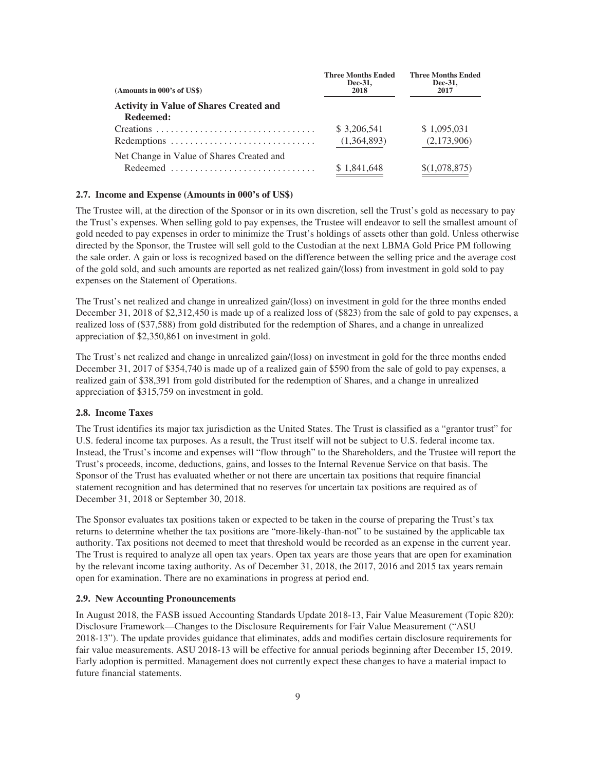| (Amounts in 000's of US\$)                     | <b>Three Months Ended</b><br>Dec-31,<br>2018 | <b>Three Months Ended</b><br>Dec-31,<br>2017 |
|------------------------------------------------|----------------------------------------------|----------------------------------------------|
| <b>Activity in Value of Shares Created and</b> |                                              |                                              |
| Redeemed:                                      |                                              |                                              |
|                                                | \$3,206,541                                  | \$1,095,031                                  |
| Redemptions                                    | (1,364,893)                                  | (2,173,906)                                  |
| Net Change in Value of Shares Created and      |                                              |                                              |
| Redeemed                                       | \$1,841,648                                  | \$(1,078,875)                                |

#### **2.7. Income and Expense (Amounts in 000's of US\$)**

The Trustee will, at the direction of the Sponsor or in its own discretion, sell the Trust's gold as necessary to pay the Trust's expenses. When selling gold to pay expenses, the Trustee will endeavor to sell the smallest amount of gold needed to pay expenses in order to minimize the Trust's holdings of assets other than gold. Unless otherwise directed by the Sponsor, the Trustee will sell gold to the Custodian at the next LBMA Gold Price PM following the sale order. A gain or loss is recognized based on the difference between the selling price and the average cost of the gold sold, and such amounts are reported as net realized gain/(loss) from investment in gold sold to pay expenses on the Statement of Operations.

The Trust's net realized and change in unrealized gain/(loss) on investment in gold for the three months ended December 31, 2018 of \$2,312,450 is made up of a realized loss of (\$823) from the sale of gold to pay expenses, a realized loss of (\$37,588) from gold distributed for the redemption of Shares, and a change in unrealized appreciation of \$2,350,861 on investment in gold.

The Trust's net realized and change in unrealized gain/(loss) on investment in gold for the three months ended December 31, 2017 of \$354,740 is made up of a realized gain of \$590 from the sale of gold to pay expenses, a realized gain of \$38,391 from gold distributed for the redemption of Shares, and a change in unrealized appreciation of \$315,759 on investment in gold.

#### **2.8. Income Taxes**

The Trust identifies its major tax jurisdiction as the United States. The Trust is classified as a "grantor trust" for U.S. federal income tax purposes. As a result, the Trust itself will not be subject to U.S. federal income tax. Instead, the Trust's income and expenses will "flow through" to the Shareholders, and the Trustee will report the Trust's proceeds, income, deductions, gains, and losses to the Internal Revenue Service on that basis. The Sponsor of the Trust has evaluated whether or not there are uncertain tax positions that require financial statement recognition and has determined that no reserves for uncertain tax positions are required as of December 31, 2018 or September 30, 2018.

The Sponsor evaluates tax positions taken or expected to be taken in the course of preparing the Trust's tax returns to determine whether the tax positions are "more-likely-than-not" to be sustained by the applicable tax authority. Tax positions not deemed to meet that threshold would be recorded as an expense in the current year. The Trust is required to analyze all open tax years. Open tax years are those years that are open for examination by the relevant income taxing authority. As of December 31, 2018, the 2017, 2016 and 2015 tax years remain open for examination. There are no examinations in progress at period end.

#### **2.9. New Accounting Pronouncements**

In August 2018, the FASB issued Accounting Standards Update 2018-13, Fair Value Measurement (Topic 820): Disclosure Framework—Changes to the Disclosure Requirements for Fair Value Measurement ("ASU 2018-13"). The update provides guidance that eliminates, adds and modifies certain disclosure requirements for fair value measurements. ASU 2018-13 will be effective for annual periods beginning after December 15, 2019. Early adoption is permitted. Management does not currently expect these changes to have a material impact to future financial statements.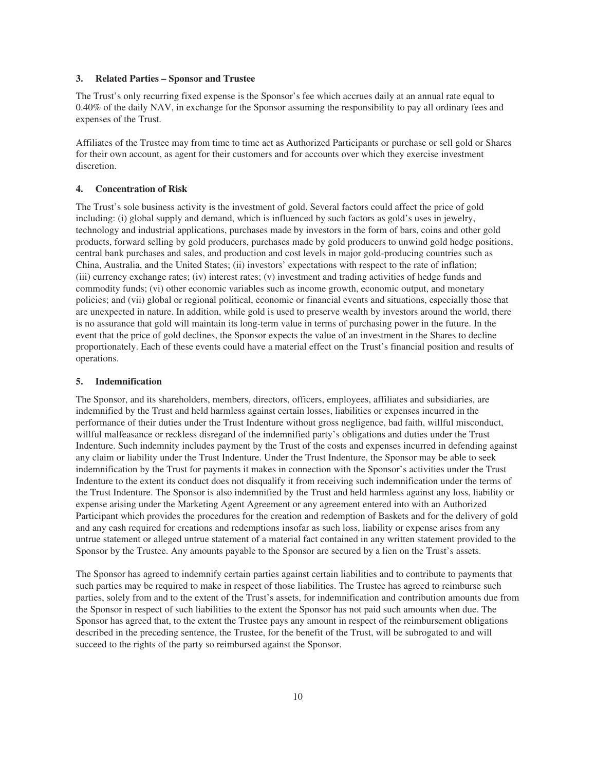#### **3. Related Parties – Sponsor and Trustee**

The Trust's only recurring fixed expense is the Sponsor's fee which accrues daily at an annual rate equal to 0.40% of the daily NAV, in exchange for the Sponsor assuming the responsibility to pay all ordinary fees and expenses of the Trust.

Affiliates of the Trustee may from time to time act as Authorized Participants or purchase or sell gold or Shares for their own account, as agent for their customers and for accounts over which they exercise investment discretion.

#### **4. Concentration of Risk**

The Trust's sole business activity is the investment of gold. Several factors could affect the price of gold including: (i) global supply and demand, which is influenced by such factors as gold's uses in jewelry, technology and industrial applications, purchases made by investors in the form of bars, coins and other gold products, forward selling by gold producers, purchases made by gold producers to unwind gold hedge positions, central bank purchases and sales, and production and cost levels in major gold-producing countries such as China, Australia, and the United States; (ii) investors' expectations with respect to the rate of inflation; (iii) currency exchange rates; (iv) interest rates; (v) investment and trading activities of hedge funds and commodity funds; (vi) other economic variables such as income growth, economic output, and monetary policies; and (vii) global or regional political, economic or financial events and situations, especially those that are unexpected in nature. In addition, while gold is used to preserve wealth by investors around the world, there is no assurance that gold will maintain its long-term value in terms of purchasing power in the future. In the event that the price of gold declines, the Sponsor expects the value of an investment in the Shares to decline proportionately. Each of these events could have a material effect on the Trust's financial position and results of operations.

#### **5. Indemnification**

The Sponsor, and its shareholders, members, directors, officers, employees, affiliates and subsidiaries, are indemnified by the Trust and held harmless against certain losses, liabilities or expenses incurred in the performance of their duties under the Trust Indenture without gross negligence, bad faith, willful misconduct, willful malfeasance or reckless disregard of the indemnified party's obligations and duties under the Trust Indenture. Such indemnity includes payment by the Trust of the costs and expenses incurred in defending against any claim or liability under the Trust Indenture. Under the Trust Indenture, the Sponsor may be able to seek indemnification by the Trust for payments it makes in connection with the Sponsor's activities under the Trust Indenture to the extent its conduct does not disqualify it from receiving such indemnification under the terms of the Trust Indenture. The Sponsor is also indemnified by the Trust and held harmless against any loss, liability or expense arising under the Marketing Agent Agreement or any agreement entered into with an Authorized Participant which provides the procedures for the creation and redemption of Baskets and for the delivery of gold and any cash required for creations and redemptions insofar as such loss, liability or expense arises from any untrue statement or alleged untrue statement of a material fact contained in any written statement provided to the Sponsor by the Trustee. Any amounts payable to the Sponsor are secured by a lien on the Trust's assets.

The Sponsor has agreed to indemnify certain parties against certain liabilities and to contribute to payments that such parties may be required to make in respect of those liabilities. The Trustee has agreed to reimburse such parties, solely from and to the extent of the Trust's assets, for indemnification and contribution amounts due from the Sponsor in respect of such liabilities to the extent the Sponsor has not paid such amounts when due. The Sponsor has agreed that, to the extent the Trustee pays any amount in respect of the reimbursement obligations described in the preceding sentence, the Trustee, for the benefit of the Trust, will be subrogated to and will succeed to the rights of the party so reimbursed against the Sponsor.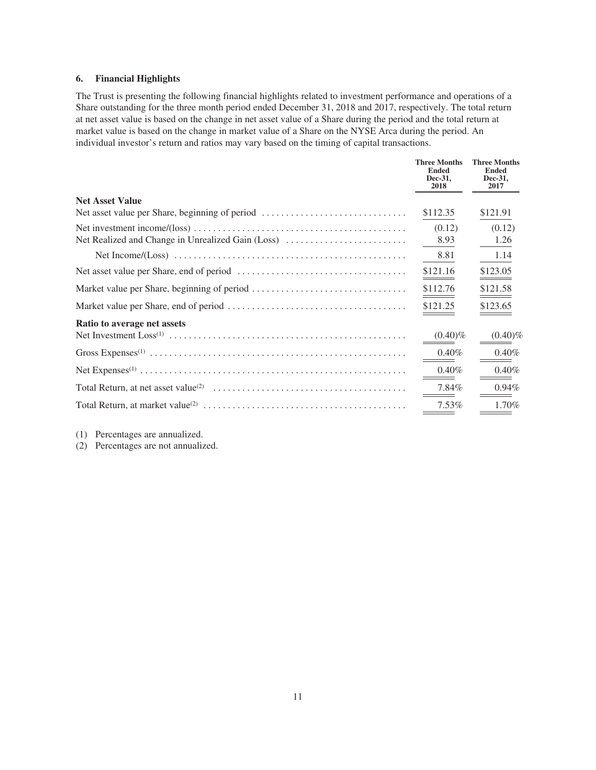## **6. Financial Highlights**

The Trust is presenting the following financial highlights related to investment performance and operations of a Share outstanding for the three month period ended December 31, 2018 and 2017, respectively. The total return at net asset value is based on the change in net asset value of a Share during the period and the total return at market value is based on the change in market value of a Share on the NYSE Arca during the period. An individual investor's return and ratios may vary based on the timing of capital transactions.

| <b>Ended</b><br>Dec-31.<br>2018 | <b>Three Months</b><br><b>Ended</b><br>Dec-31,<br>2017 |
|---------------------------------|--------------------------------------------------------|
|                                 |                                                        |
| \$112.35                        | \$121.91                                               |
| (0.12)                          | (0.12)                                                 |
| 8.93                            | 1.26                                                   |
| 8.81                            | 1.14                                                   |
| \$121.16                        | \$123.05                                               |
| \$112.76                        | \$121.58                                               |
| \$121.25                        | \$123.65                                               |
| $(0.40)\%$                      | $(0.40)\%$                                             |
| $0.40\%$                        | $0.40\%$                                               |
| $0.40\%$                        | $0.40\%$                                               |
| 7.84%                           | $0.94\%$                                               |
| $7.53\%$                        | 1.70%                                                  |
|                                 | <b>Three Months</b>                                    |

(1) Percentages are annualized.

(2) Percentages are not annualized.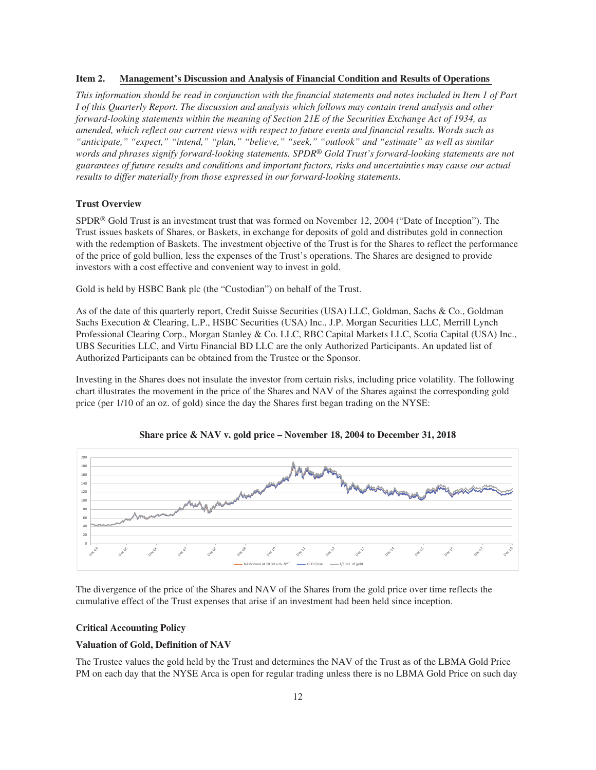#### **Item 2. Management's Discussion and Analysis of Financial Condition and Results of Operations**

*This information should be read in conjunction with the financial statements and notes included in Item 1 of Part I of this Quarterly Report. The discussion and analysis which follows may contain trend analysis and other forward-looking statements within the meaning of Section 21E of the Securities Exchange Act of 1934, as amended, which reflect our current views with respect to future events and financial results. Words such as "anticipate," "expect," "intend," "plan," "believe," "seek," "outlook" and "estimate" as well as similar words and phrases signify forward-looking statements. SPDR® Gold Trust's forward-looking statements are not guarantees of future results and conditions and important factors, risks and uncertainties may cause our actual results to differ materially from those expressed in our forward-looking statements.*

#### **Trust Overview**

SPDR® Gold Trust is an investment trust that was formed on November 12, 2004 ("Date of Inception"). The Trust issues baskets of Shares, or Baskets, in exchange for deposits of gold and distributes gold in connection with the redemption of Baskets. The investment objective of the Trust is for the Shares to reflect the performance of the price of gold bullion, less the expenses of the Trust's operations. The Shares are designed to provide investors with a cost effective and convenient way to invest in gold.

Gold is held by HSBC Bank plc (the "Custodian") on behalf of the Trust.

As of the date of this quarterly report, Credit Suisse Securities (USA) LLC, Goldman, Sachs & Co., Goldman Sachs Execution & Clearing, L.P., HSBC Securities (USA) Inc., J.P. Morgan Securities LLC, Merrill Lynch Professional Clearing Corp., Morgan Stanley & Co. LLC, RBC Capital Markets LLC, Scotia Capital (USA) Inc., UBS Securities LLC, and Virtu Financial BD LLC are the only Authorized Participants. An updated list of Authorized Participants can be obtained from the Trustee or the Sponsor.

Investing in the Shares does not insulate the investor from certain risks, including price volatility. The following chart illustrates the movement in the price of the Shares and NAV of the Shares against the corresponding gold price (per 1/10 of an oz. of gold) since the day the Shares first began trading on the NYSE:





The divergence of the price of the Shares and NAV of the Shares from the gold price over time reflects the cumulative effect of the Trust expenses that arise if an investment had been held since inception.

#### **Critical Accounting Policy**

#### **Valuation of Gold, Definition of NAV**

The Trustee values the gold held by the Trust and determines the NAV of the Trust as of the LBMA Gold Price PM on each day that the NYSE Arca is open for regular trading unless there is no LBMA Gold Price on such day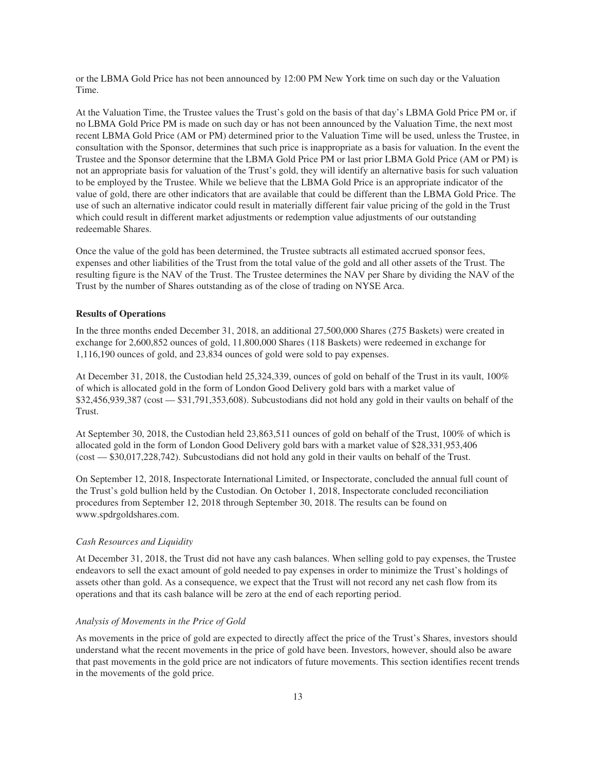or the LBMA Gold Price has not been announced by 12:00 PM New York time on such day or the Valuation Time.

At the Valuation Time, the Trustee values the Trust's gold on the basis of that day's LBMA Gold Price PM or, if no LBMA Gold Price PM is made on such day or has not been announced by the Valuation Time, the next most recent LBMA Gold Price (AM or PM) determined prior to the Valuation Time will be used, unless the Trustee, in consultation with the Sponsor, determines that such price is inappropriate as a basis for valuation. In the event the Trustee and the Sponsor determine that the LBMA Gold Price PM or last prior LBMA Gold Price (AM or PM) is not an appropriate basis for valuation of the Trust's gold, they will identify an alternative basis for such valuation to be employed by the Trustee. While we believe that the LBMA Gold Price is an appropriate indicator of the value of gold, there are other indicators that are available that could be different than the LBMA Gold Price. The use of such an alternative indicator could result in materially different fair value pricing of the gold in the Trust which could result in different market adjustments or redemption value adjustments of our outstanding redeemable Shares.

Once the value of the gold has been determined, the Trustee subtracts all estimated accrued sponsor fees, expenses and other liabilities of the Trust from the total value of the gold and all other assets of the Trust. The resulting figure is the NAV of the Trust. The Trustee determines the NAV per Share by dividing the NAV of the Trust by the number of Shares outstanding as of the close of trading on NYSE Arca.

#### **Results of Operations**

In the three months ended December 31, 2018, an additional 27,500,000 Shares (275 Baskets) were created in exchange for 2,600,852 ounces of gold, 11,800,000 Shares (118 Baskets) were redeemed in exchange for 1,116,190 ounces of gold, and 23,834 ounces of gold were sold to pay expenses.

At December 31, 2018, the Custodian held 25,324,339, ounces of gold on behalf of the Trust in its vault, 100% of which is allocated gold in the form of London Good Delivery gold bars with a market value of \$32,456,939,387 (cost — \$31,791,353,608). Subcustodians did not hold any gold in their vaults on behalf of the Trust.

At September 30, 2018, the Custodian held 23,863,511 ounces of gold on behalf of the Trust, 100% of which is allocated gold in the form of London Good Delivery gold bars with a market value of \$28,331,953,406 (cost — \$30,017,228,742). Subcustodians did not hold any gold in their vaults on behalf of the Trust.

On September 12, 2018, Inspectorate International Limited, or Inspectorate, concluded the annual full count of the Trust's gold bullion held by the Custodian. On October 1, 2018, Inspectorate concluded reconciliation procedures from September 12, 2018 through September 30, 2018. The results can be found on www.spdrgoldshares.com.

#### *Cash Resources and Liquidity*

At December 31, 2018, the Trust did not have any cash balances. When selling gold to pay expenses, the Trustee endeavors to sell the exact amount of gold needed to pay expenses in order to minimize the Trust's holdings of assets other than gold. As a consequence, we expect that the Trust will not record any net cash flow from its operations and that its cash balance will be zero at the end of each reporting period.

#### *Analysis of Movements in the Price of Gold*

As movements in the price of gold are expected to directly affect the price of the Trust's Shares, investors should understand what the recent movements in the price of gold have been. Investors, however, should also be aware that past movements in the gold price are not indicators of future movements. This section identifies recent trends in the movements of the gold price.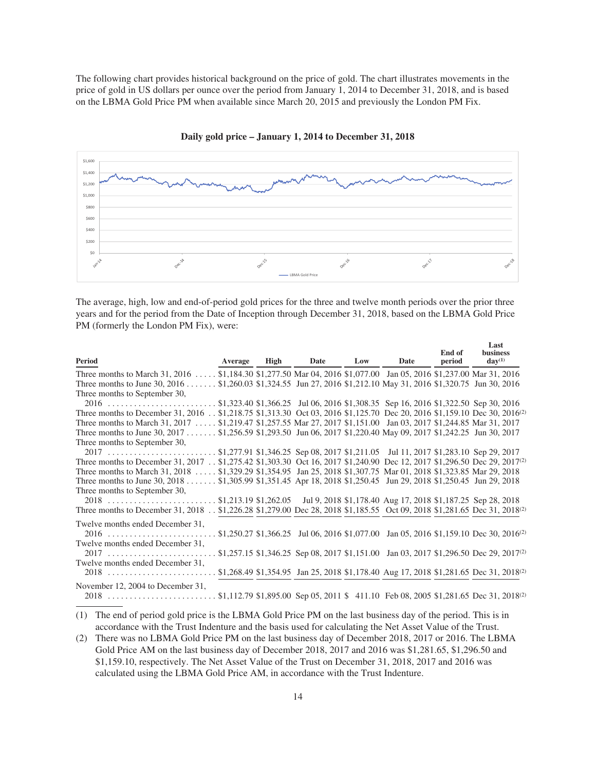The following chart provides historical background on the price of gold. The chart illustrates movements in the price of gold in US dollars per ounce over the period from January 1, 2014 to December 31, 2018, and is based on the LBMA Gold Price PM when available since March 20, 2015 and previously the London PM Fix.



**Daily gold price – January 1, 2014 to December 31, 2018**

The average, high, low and end-of-period gold prices for the three and twelve month periods over the prior three years and for the period from the Date of Inception through December 31, 2018, based on the LBMA Gold Price PM (formerly the London PM Fix), were:

| Average High Date Low Date<br><b>Period</b>                                                                                           |  |  | End of<br>period | Last<br><b>business</b><br>$day^{(1)}$                                                            |
|---------------------------------------------------------------------------------------------------------------------------------------|--|--|------------------|---------------------------------------------------------------------------------------------------|
| Three months to March 31, 2016  \$1,184.30 \$1,277.50 Mar 04, 2016 \$1,077.00 Jan 05, 2016 \$1,237.00 Mar 31, 2016                    |  |  |                  |                                                                                                   |
| Three months to June 30, 2016  \$1,260.03 \$1,324.55 Jun 27, 2016 \$1,212.10 May 31, 2016 \$1,320.75 Jun 30, 2016                     |  |  |                  |                                                                                                   |
| Three months to September 30,                                                                                                         |  |  |                  |                                                                                                   |
|                                                                                                                                       |  |  |                  |                                                                                                   |
| Three months to December 31, 2016 . \$1,218.75 \$1,313.30 Oct 03, 2016 \$1,125.70 Dec 20, 2016 \$1,159.10 Dec 30, 2016 <sup>(2)</sup> |  |  |                  |                                                                                                   |
| Three months to March 31, 2017  \$1,219.47 \$1,257.55 Mar 27, 2017 \$1,151.00 Jan 03, 2017 \$1,244.85 Mar 31, 2017                    |  |  |                  |                                                                                                   |
| Three months to June 30, 2017 \$1,256.59 \$1,293.50 Jun 06, 2017 \$1,220.40 May 09, 2017 \$1,242.25 Jun 30, 2017                      |  |  |                  |                                                                                                   |
| Three months to September 30,                                                                                                         |  |  |                  |                                                                                                   |
|                                                                                                                                       |  |  |                  |                                                                                                   |
| Three months to December 31, 2017 . \$1,275.42 \$1,303.30 Oct 16, 2017 \$1,240.90 Dec 12, 2017 \$1,296.50 Dec 29, 2017 <sup>(2)</sup> |  |  |                  |                                                                                                   |
| Three months to March 31, 2018  \$1,329.29 \$1,354.95 Jan 25, 2018 \$1,307.75 Mar 01, 2018 \$1,323.85 Mar 29, 2018                    |  |  |                  |                                                                                                   |
| Three months to June 30, 2018 \$1,305.99 \$1,351.45 Apr 18, 2018 \$1,250.45 Jun 29, 2018 \$1,250.45 Jun 29, 2018                      |  |  |                  |                                                                                                   |
| Three months to September 30,                                                                                                         |  |  |                  |                                                                                                   |
|                                                                                                                                       |  |  |                  |                                                                                                   |
| Three months to December 31, 2018 . \$1,226.28 \$1,279.00 Dec 28, 2018 \$1,185.55 Oct 09, 2018 \$1,281.65 Dec 31, 2018 <sup>(2)</sup> |  |  |                  |                                                                                                   |
| Twelve months ended December 31,                                                                                                      |  |  |                  |                                                                                                   |
|                                                                                                                                       |  |  |                  | \$1,250.27 \$1,366.25 Jul 06, 2016 \$1,077.00 Jan 05, 2016 \$1,159.10 Dec 30, 2016 <sup>(2)</sup> |
| Twelve months ended December 31,                                                                                                      |  |  |                  |                                                                                                   |
|                                                                                                                                       |  |  |                  | \$1,257.15 \$1,346.25 Sep 08, 2017 \$1,151.00 Jan 03, 2017 \$1,296.50 Dec 29, 2017 <sup>(2)</sup> |
| Twelve months ended December 31,                                                                                                      |  |  |                  |                                                                                                   |
|                                                                                                                                       |  |  |                  |                                                                                                   |
| November 12, 2004 to December 31,                                                                                                     |  |  |                  |                                                                                                   |
| 2018 \$1,112.79 \$1,895.00 Sep 05, 2011 \$411.10 Feb 08, 2005 \$1,281.65 Dec 31, 2018 <sup>(2)</sup>                                  |  |  |                  |                                                                                                   |
|                                                                                                                                       |  |  |                  |                                                                                                   |

(1) The end of period gold price is the LBMA Gold Price PM on the last business day of the period. This is in accordance with the Trust Indenture and the basis used for calculating the Net Asset Value of the Trust.

(2) There was no LBMA Gold Price PM on the last business day of December 2018, 2017 or 2016. The LBMA Gold Price AM on the last business day of December 2018, 2017 and 2016 was \$1,281.65, \$1,296.50 and \$1,159.10, respectively. The Net Asset Value of the Trust on December 31, 2018, 2017 and 2016 was calculated using the LBMA Gold Price AM, in accordance with the Trust Indenture.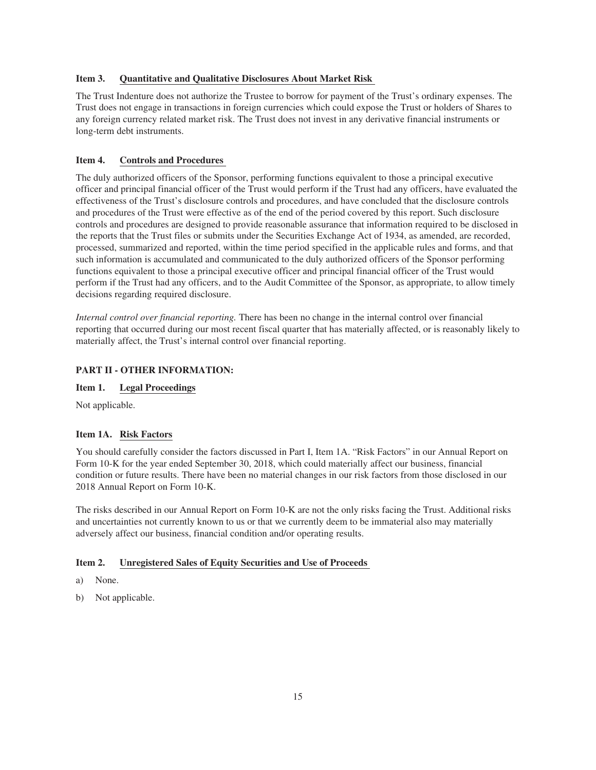#### **Item 3. Quantitative and Qualitative Disclosures About Market Risk**

The Trust Indenture does not authorize the Trustee to borrow for payment of the Trust's ordinary expenses. The Trust does not engage in transactions in foreign currencies which could expose the Trust or holders of Shares to any foreign currency related market risk. The Trust does not invest in any derivative financial instruments or long-term debt instruments.

## **Item 4. Controls and Procedures**

The duly authorized officers of the Sponsor, performing functions equivalent to those a principal executive officer and principal financial officer of the Trust would perform if the Trust had any officers, have evaluated the effectiveness of the Trust's disclosure controls and procedures, and have concluded that the disclosure controls and procedures of the Trust were effective as of the end of the period covered by this report. Such disclosure controls and procedures are designed to provide reasonable assurance that information required to be disclosed in the reports that the Trust files or submits under the Securities Exchange Act of 1934, as amended, are recorded, processed, summarized and reported, within the time period specified in the applicable rules and forms, and that such information is accumulated and communicated to the duly authorized officers of the Sponsor performing functions equivalent to those a principal executive officer and principal financial officer of the Trust would perform if the Trust had any officers, and to the Audit Committee of the Sponsor, as appropriate, to allow timely decisions regarding required disclosure.

*Internal control over financial reporting.* There has been no change in the internal control over financial reporting that occurred during our most recent fiscal quarter that has materially affected, or is reasonably likely to materially affect, the Trust's internal control over financial reporting.

#### **PART II - OTHER INFORMATION:**

#### **Item 1. Legal Proceedings**

Not applicable.

#### **Item 1A. Risk Factors**

You should carefully consider the factors discussed in Part I, Item 1A. "Risk Factors" in our Annual Report on Form 10-K for the year ended September 30, 2018, which could materially affect our business, financial condition or future results. There have been no material changes in our risk factors from those disclosed in our 2018 Annual Report on Form 10-K.

The risks described in our Annual Report on Form 10-K are not the only risks facing the Trust. Additional risks and uncertainties not currently known to us or that we currently deem to be immaterial also may materially adversely affect our business, financial condition and/or operating results.

#### **Item 2. Unregistered Sales of Equity Securities and Use of Proceeds**

- a) None.
- b) Not applicable.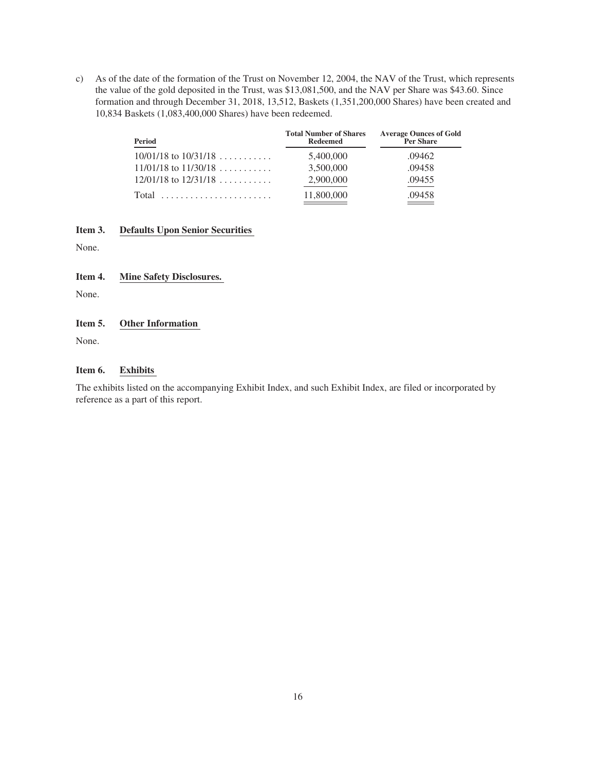c) As of the date of the formation of the Trust on November 12, 2004, the NAV of the Trust, which represents the value of the gold deposited in the Trust, was \$13,081,500, and the NAV per Share was \$43.60. Since formation and through December 31, 2018, 13,512, Baskets (1,351,200,000 Shares) have been created and 10,834 Baskets (1,083,400,000 Shares) have been redeemed.

| Period                   | <b>Total Number of Shares</b><br><b>Redeemed</b> | <b>Average Ounces of Gold</b><br><b>Per Share</b> |
|--------------------------|--------------------------------------------------|---------------------------------------------------|
| $10/01/18$ to $10/31/18$ | 5,400,000                                        | .09462                                            |
| $11/01/18$ to $11/30/18$ | 3.500,000                                        | .09458                                            |
| $12/01/18$ to $12/31/18$ | 2,900,000                                        | .09455                                            |
| Total                    | 11,800,000                                       | .09458                                            |

## **Item 3. Defaults Upon Senior Securities**

None.

**Item 4. Mine Safety Disclosures.**

None.

**Item 5. Other Information**

None.

#### **Item 6. Exhibits**

The exhibits listed on the accompanying Exhibit Index, and such Exhibit Index, are filed or incorporated by reference as a part of this report.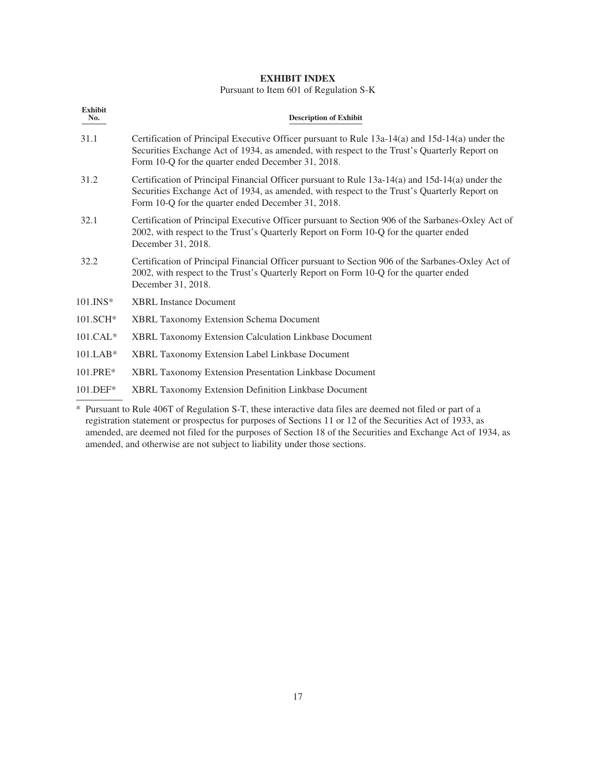#### **EXHIBIT INDEX**

Pursuant to Item 601 of Regulation S-K

| <b>Exhibit</b><br>No. | <b>Description of Exhibit</b>                                                                                                                                                                                                                         |
|-----------------------|-------------------------------------------------------------------------------------------------------------------------------------------------------------------------------------------------------------------------------------------------------|
| 31.1                  | Certification of Principal Executive Officer pursuant to Rule 13a-14(a) and 15d-14(a) under the<br>Securities Exchange Act of 1934, as amended, with respect to the Trust's Quarterly Report on<br>Form 10-Q for the quarter ended December 31, 2018. |
| 31.2                  | Certification of Principal Financial Officer pursuant to Rule 13a-14(a) and 15d-14(a) under the<br>Securities Exchange Act of 1934, as amended, with respect to the Trust's Quarterly Report on<br>Form 10-Q for the quarter ended December 31, 2018. |
| 32.1                  | Certification of Principal Executive Officer pursuant to Section 906 of the Sarbanes-Oxley Act of<br>2002, with respect to the Trust's Quarterly Report on Form 10-Q for the quarter ended<br>December 31, 2018.                                      |
| 32.2                  | Certification of Principal Financial Officer pursuant to Section 906 of the Sarbanes-Oxley Act of<br>2002, with respect to the Trust's Quarterly Report on Form 10-Q for the quarter ended<br>December 31, 2018.                                      |
| $101.$ INS*           | <b>XBRL</b> Instance Document                                                                                                                                                                                                                         |
| 101.SCH*              | <b>XBRL Taxonomy Extension Schema Document</b>                                                                                                                                                                                                        |
| $101.CAL*$            | <b>XBRL Taxonomy Extension Calculation Linkbase Document</b>                                                                                                                                                                                          |
| $101.LAB*$            | XBRL Taxonomy Extension Label Linkbase Document                                                                                                                                                                                                       |
| 101.PRE*              | XBRL Taxonomy Extension Presentation Linkbase Document                                                                                                                                                                                                |
| 101.DEF*              | XBRL Taxonomy Extension Definition Linkbase Document                                                                                                                                                                                                  |
|                       |                                                                                                                                                                                                                                                       |

<sup>\*</sup> Pursuant to Rule 406T of Regulation S-T, these interactive data files are deemed not filed or part of a registration statement or prospectus for purposes of Sections 11 or 12 of the Securities Act of 1933, as amended, are deemed not filed for the purposes of Section 18 of the Securities and Exchange Act of 1934, as amended, and otherwise are not subject to liability under those sections.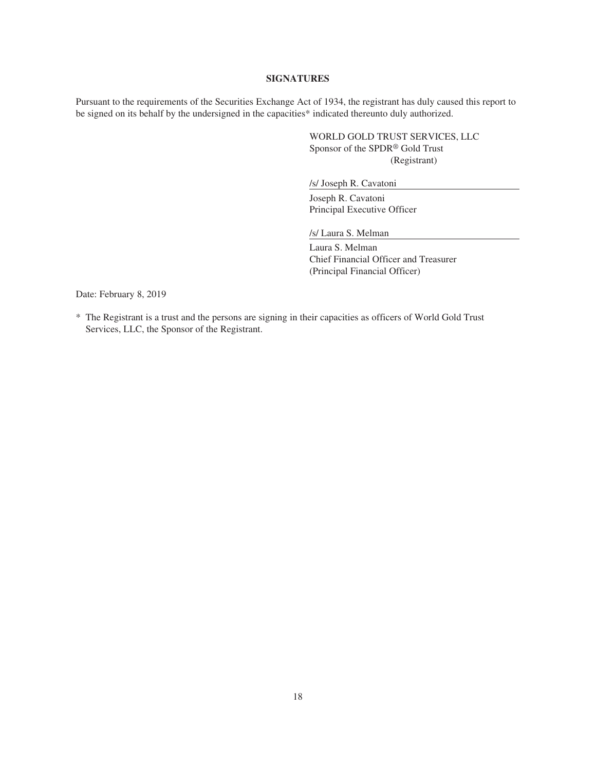## **SIGNATURES**

Pursuant to the requirements of the Securities Exchange Act of 1934, the registrant has duly caused this report to be signed on its behalf by the undersigned in the capacities\* indicated thereunto duly authorized.

> WORLD GOLD TRUST SERVICES, LLC Sponsor of the SPDR® Gold Trust (Registrant)

/s/ Joseph R. Cavatoni

Joseph R. Cavatoni Principal Executive Officer

/s/ Laura S. Melman

Laura S. Melman Chief Financial Officer and Treasurer (Principal Financial Officer)

Date: February 8, 2019

\* The Registrant is a trust and the persons are signing in their capacities as officers of World Gold Trust Services, LLC, the Sponsor of the Registrant.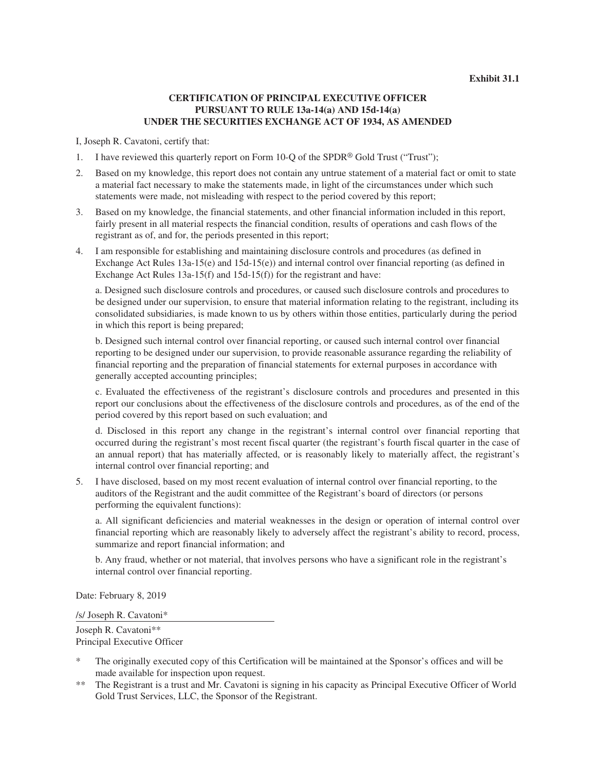## **CERTIFICATION OF PRINCIPAL EXECUTIVE OFFICER PURSUANT TO RULE 13a-14(a) AND 15d-14(a) UNDER THE SECURITIES EXCHANGE ACT OF 1934, AS AMENDED**

I, Joseph R. Cavatoni, certify that:

- 1. I have reviewed this quarterly report on Form 10-Q of the SPDR® Gold Trust ("Trust");
- 2. Based on my knowledge, this report does not contain any untrue statement of a material fact or omit to state a material fact necessary to make the statements made, in light of the circumstances under which such statements were made, not misleading with respect to the period covered by this report;
- 3. Based on my knowledge, the financial statements, and other financial information included in this report, fairly present in all material respects the financial condition, results of operations and cash flows of the registrant as of, and for, the periods presented in this report;
- 4. I am responsible for establishing and maintaining disclosure controls and procedures (as defined in Exchange Act Rules 13a-15(e) and 15d-15(e)) and internal control over financial reporting (as defined in Exchange Act Rules 13a-15(f) and 15d-15(f)) for the registrant and have:

a. Designed such disclosure controls and procedures, or caused such disclosure controls and procedures to be designed under our supervision, to ensure that material information relating to the registrant, including its consolidated subsidiaries, is made known to us by others within those entities, particularly during the period in which this report is being prepared;

b. Designed such internal control over financial reporting, or caused such internal control over financial reporting to be designed under our supervision, to provide reasonable assurance regarding the reliability of financial reporting and the preparation of financial statements for external purposes in accordance with generally accepted accounting principles;

c. Evaluated the effectiveness of the registrant's disclosure controls and procedures and presented in this report our conclusions about the effectiveness of the disclosure controls and procedures, as of the end of the period covered by this report based on such evaluation; and

d. Disclosed in this report any change in the registrant's internal control over financial reporting that occurred during the registrant's most recent fiscal quarter (the registrant's fourth fiscal quarter in the case of an annual report) that has materially affected, or is reasonably likely to materially affect, the registrant's internal control over financial reporting; and

5. I have disclosed, based on my most recent evaluation of internal control over financial reporting, to the auditors of the Registrant and the audit committee of the Registrant's board of directors (or persons performing the equivalent functions):

a. All significant deficiencies and material weaknesses in the design or operation of internal control over financial reporting which are reasonably likely to adversely affect the registrant's ability to record, process, summarize and report financial information; and

b. Any fraud, whether or not material, that involves persons who have a significant role in the registrant's internal control over financial reporting.

Date: February 8, 2019

/s/ Joseph R. Cavatoni\*

Joseph R. Cavatoni\*\* Principal Executive Officer

- The originally executed copy of this Certification will be maintained at the Sponsor's offices and will be made available for inspection upon request.
- The Registrant is a trust and Mr. Cavatoni is signing in his capacity as Principal Executive Officer of World Gold Trust Services, LLC, the Sponsor of the Registrant.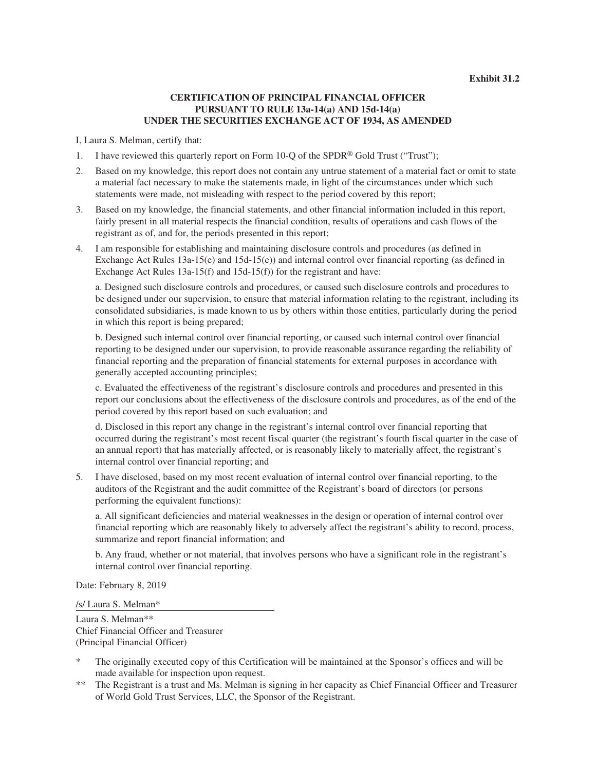## **CERTIFICATION OF PRINCIPAL FINANCIAL OFFICER PURSUANT TO RULE 13a-14(a) AND 15d-14(a) UNDER THE SECURITIES EXCHANGE ACT OF 1934, AS AMENDED**

I, Laura S. Melman, certify that:

- 1. I have reviewed this quarterly report on Form 10-Q of the SPDR® Gold Trust ("Trust");
- 2. Based on my knowledge, this report does not contain any untrue statement of a material fact or omit to state a material fact necessary to make the statements made, in light of the circumstances under which such statements were made, not misleading with respect to the period covered by this report;
- 3. Based on my knowledge, the financial statements, and other financial information included in this report, fairly present in all material respects the financial condition, results of operations and cash flows of the registrant as of, and for, the periods presented in this report;
- 4. I am responsible for establishing and maintaining disclosure controls and procedures (as defined in Exchange Act Rules 13a-15(e) and 15d-15(e)) and internal control over financial reporting (as defined in Exchange Act Rules 13a-15(f) and 15d-15(f)) for the registrant and have:

a. Designed such disclosure controls and procedures, or caused such disclosure controls and procedures to be designed under our supervision, to ensure that material information relating to the registrant, including its consolidated subsidiaries, is made known to us by others within those entities, particularly during the period in which this report is being prepared;

b. Designed such internal control over financial reporting, or caused such internal control over financial reporting to be designed under our supervision, to provide reasonable assurance regarding the reliability of financial reporting and the preparation of financial statements for external purposes in accordance with generally accepted accounting principles;

c. Evaluated the effectiveness of the registrant's disclosure controls and procedures and presented in this report our conclusions about the effectiveness of the disclosure controls and procedures, as of the end of the period covered by this report based on such evaluation; and

d. Disclosed in this report any change in the registrant's internal control over financial reporting that occurred during the registrant's most recent fiscal quarter (the registrant's fourth fiscal quarter in the case of an annual report) that has materially affected, or is reasonably likely to materially affect, the registrant's internal control over financial reporting; and

5. I have disclosed, based on my most recent evaluation of internal control over financial reporting, to the auditors of the Registrant and the audit committee of the Registrant's board of directors (or persons performing the equivalent functions):

a. All significant deficiencies and material weaknesses in the design or operation of internal control over financial reporting which are reasonably likely to adversely affect the registrant's ability to record, process, summarize and report financial information; and

b. Any fraud, whether or not material, that involves persons who have a significant role in the registrant's internal control over financial reporting.

Date: February 8, 2019

/s/ Laura S. Melman\*

Laura S. Melman\*\* Chief Financial Officer and Treasurer (Principal Financial Officer)

- The originally executed copy of this Certification will be maintained at the Sponsor's offices and will be made available for inspection upon request.
- \*\* The Registrant is a trust and Ms. Melman is signing in her capacity as Chief Financial Officer and Treasurer of World Gold Trust Services, LLC, the Sponsor of the Registrant.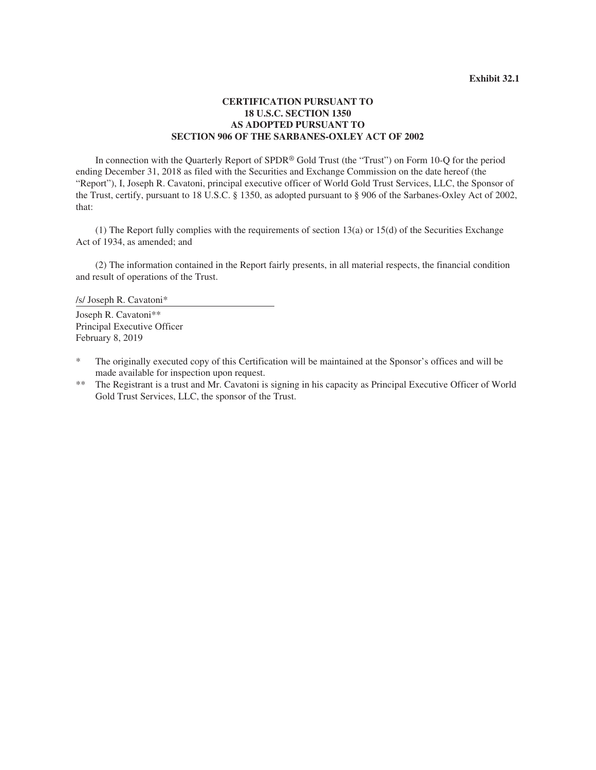## **CERTIFICATION PURSUANT TO 18 U.S.C. SECTION 1350 AS ADOPTED PURSUANT TO SECTION 906 OF THE SARBANES-OXLEY ACT OF 2002**

In connection with the Quarterly Report of SPDR® Gold Trust (the "Trust") on Form 10-Q for the period ending December 31, 2018 as filed with the Securities and Exchange Commission on the date hereof (the "Report"), I, Joseph R. Cavatoni, principal executive officer of World Gold Trust Services, LLC, the Sponsor of the Trust, certify, pursuant to 18 U.S.C. § 1350, as adopted pursuant to § 906 of the Sarbanes-Oxley Act of 2002, that:

(1) The Report fully complies with the requirements of section 13(a) or 15(d) of the Securities Exchange Act of 1934, as amended; and

(2) The information contained in the Report fairly presents, in all material respects, the financial condition and result of operations of the Trust.

/s/ Joseph R. Cavatoni\*

Joseph R. Cavatoni\*\* Principal Executive Officer February 8, 2019

- \* The originally executed copy of this Certification will be maintained at the Sponsor's offices and will be made available for inspection upon request.
- \*\* The Registrant is a trust and Mr. Cavatoni is signing in his capacity as Principal Executive Officer of World Gold Trust Services, LLC, the sponsor of the Trust.